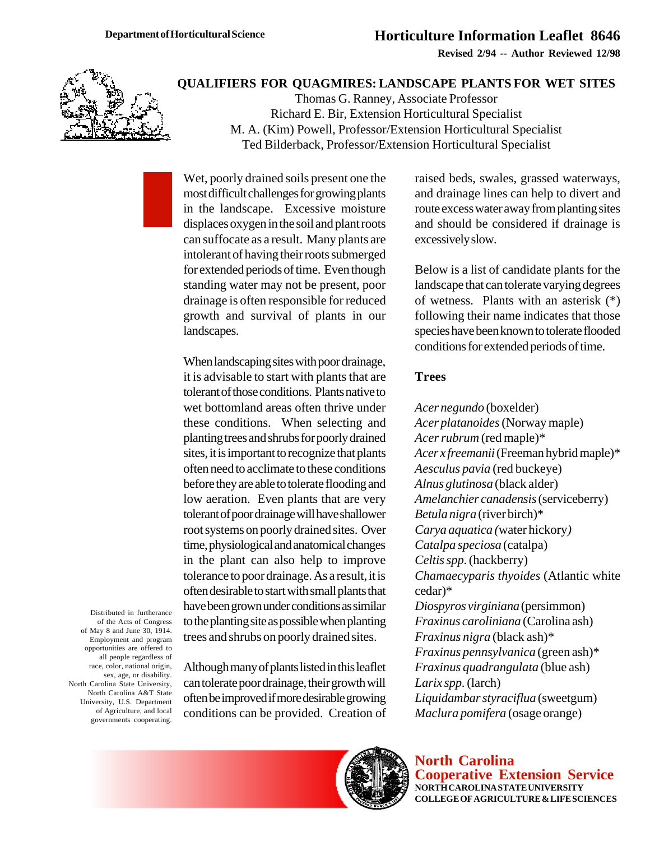**Revised 2/94 -- Author Reviewed 12/98**



#### **QUALIFIERS FOR QUAGMIRES: LANDSCAPE PLANTS FOR WET SITES**

Thomas G. Ranney, Associate Professor Richard E. Bir, Extension Horticultural Specialist M. A. (Kim) Powell, Professor/Extension Horticultural Specialist Ted Bilderback, Professor/Extension Horticultural Specialist

Wet, poorly drained soils present one the most difficult challenges for growing plants in the landscape. Excessive moisture displaces oxygen in the soil and plant roots can suffocate as a result. Many plants are intolerant of having their roots submerged for extended periods of time. Even though standing water may not be present, poor drainage is often responsible for reduced growth and survival of plants in our landscapes.

When landscaping sites with poor drainage, it is advisable to start with plants that are tolerant of those conditions. Plants native to wet bottomland areas often thrive under these conditions. When selecting and planting trees and shrubs for poorly drained sites, it is important to recognize that plants often need to acclimate to these conditions before they are able to tolerate flooding and low aeration. Even plants that are very tolerant of poor drainage will have shallower root systems on poorly drained sites. Over time, physiological and anatomical changes in the plant can also help to improve tolerance to poor drainage. As a result, it is often desirable to start with small plants that have been grown under conditions as similar to the planting site as possible when planting trees and shrubs on poorly drained sites.

Distributed in furtherance of the Acts of Congress of May 8 and June 30, 1914. Employment and program opportunities are offered to all people regardless of race, color, national origin, sex, age, or disability. North Carolina State University, North Carolina A&T State University, U.S. Department of Agriculture, and local governments cooperating.

Although many of plants listed in this leaflet can tolerate poor drainage, their growth will often be improved if more desirable growing conditions can be provided. Creation of raised beds, swales, grassed waterways, and drainage lines can help to divert and route excess water away from planting sites and should be considered if drainage is excessively slow.

Below is a list of candidate plants for the landscape that can tolerate varying degrees of wetness. Plants with an asterisk (\*) following their name indicates that those species have been known to tolerate flooded conditions for extended periods of time.

#### **Trees**

*Acer negundo* (boxelder) *Acer platanoides* (Norway maple) *Acer rubrum* (red maple)\* *Acer x freemanii* (Freeman hybrid maple)\* *Aesculus pavia* (red buckeye) *Alnus glutinosa* (black alder) *Amelanchier canadensis* (serviceberry) *Betula nigra* (river birch)\* *Carya aquatica (*water hickory*) Catalpa speciosa* (catalpa) *Celtis spp.* (hackberry) *Chamaecyparis thyoides* (Atlantic white cedar)\* *Diospyros virginiana* (persimmon) *Fraxinus caroliniana* (Carolina ash) *Fraxinus nigra* (black ash)\* *Fraxinus pennsylvanica* (green ash)\* *Fraxinus quadrangulata* (blue ash) *Larix spp.* (larch) *Liquidambar styraciflua* (sweetgum) *Maclura pomifera* (osage orange)



**North Carolina Cooperative Extension Service NORTH CAROLINA STATE UNIVERSITY COLLEGE OF AGRICULTURE & LIFE SCIENCES**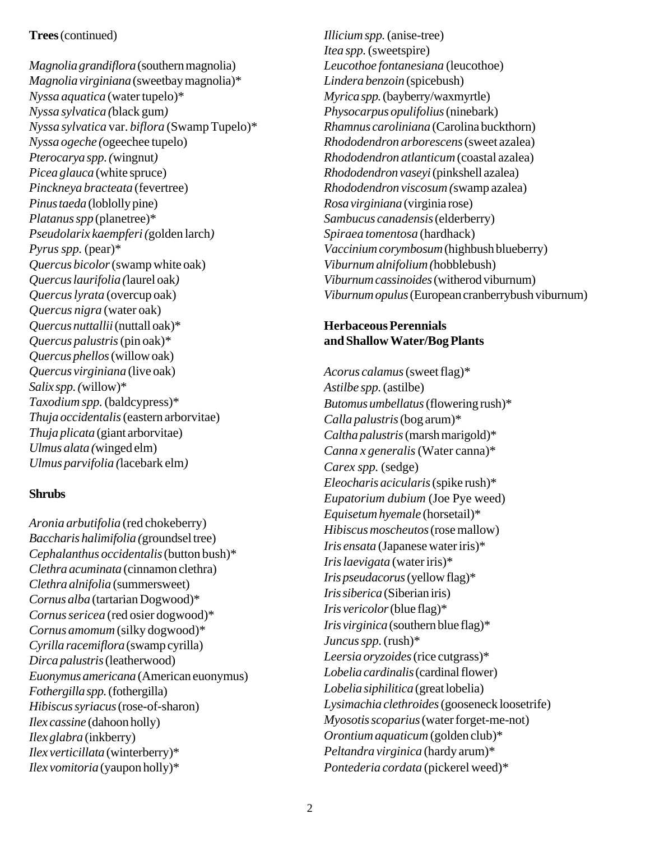## **Trees** (continued)

*Magnolia grandiflora* (southern magnolia) *Magnolia virginiana* (sweetbay magnolia)\* *Nyssa aquatica* (water tupelo)\* *Nyssa sylvatica (*black gum*) Nyssa sylvatica* var. *biflora* (Swamp Tupelo)\* *Nyssa ogeche (*ogeechee tupelo) *Pterocarya spp. (*wingnut*) Picea glauca* (white spruce) *Pinckneya bracteata* (fevertree) *Pinus taeda* (loblolly pine) *Platanus spp* (planetree)\* *Pseudolarix kaempferi (*golden larch*) Pyrus spp.* (pear)\* *Quercus bicolor* (swamp white oak) *Quercus laurifolia (*laurel oak*) Quercus lyrata* (overcup oak) *Quercus nigra* (water oak) *Quercus nuttallii* (nuttall oak)\* *Quercus palustris* (pin oak)\* *Quercus phellos* (willow oak) *Quercus virginiana* (live oak) *Salix spp. (*willow)\* *Taxodium spp.* (baldcypress)\* *Thuja occidentalis* (eastern arborvitae) *Thuja plicata* (giant arborvitae) *Ulmus alata (*winged elm) *Ulmus parvifolia (*lacebark elm*)*

## **Shrubs**

*Aronia arbutifolia* (red chokeberry) *Baccharis halimifolia (*groundsel tree) *Cephalanthus occidentalis* (button bush)\* *Clethra acuminata* (cinnamon clethra) *Clethra alnifolia* (summersweet) *Cornus alba* (tartarian Dogwood)\* *Cornus sericea* (red osier dogwood)\* *Cornus amomum* (silky dogwood)\* *Cyrilla racemiflora* (swamp cyrilla) *Dirca palustris* (leatherwood) *Euonymus americana* (American euonymus) *Fothergilla spp.* (fothergilla) *Hibiscus syriacus* (rose-of-sharon) *Ilex cassine* (dahoon holly) *Ilex glabra* (inkberry) *Ilex verticillata* (winterberry)\* *Ilex vomitoria* (yaupon holly)\*

*Illicium spp.* (anise-tree) *Itea spp.* (sweetspire) *Leucothoe fontanesiana* (leucothoe) *Lindera benzoin* (spicebush) *Myrica spp.* (bayberry/waxmyrtle) *Physocarpus opulifolius* (ninebark) *Rhamnus caroliniana* (Carolina buckthorn) *Rhododendron arborescens* (sweet azalea) *Rhododendron atlanticum* (coastal azalea) *Rhododendron vaseyi* (pinkshell azalea) *Rhododendron viscosum (*swamp azalea) *Rosa virginiana* (virginia rose) *Sambucus canadensis* (elderberry) *Spiraea tomentosa* (hardhack) *Vaccinium corymbosum* (highbush blueberry) *Viburnum alnifolium (*hobblebush) *Viburnum cassinoides* (witherod viburnum) *Viburnum opulus* (European cranberrybush viburnum)

# **Herbaceous Perennials and Shallow Water/Bog Plants**

*Acorus calamus* (sweet flag)\* *Astilbe spp.* (astilbe) *Butomus umbellatus* (flowering rush)\* *Calla palustris* (bog arum)\* *Caltha palustris* (marsh marigold)\* *Canna x generalis* (Water canna)\* *Carex spp.* (sedge) *Eleocharis acicularis* (spike rush)\* *Eupatorium dubium* (Joe Pye weed) *Equisetum hyemale* (horsetail)\* *Hibiscus moscheutos* (rose mallow) *Iris ensata* (Japanese water iris)\* *Iris laevigata* (water iris)\* *Iris pseudacorus* (yellow flag)\* *Iris siberica* (Siberian iris) *Iris vericolor* (blue flag)\* *Iris virginica* (southern blue flag)\* *Juncus spp.* (rush)\* *Leersia oryzoides* (rice cutgrass)\* *Lobelia cardinalis* (cardinal flower) *Lobelia siphilitica* (great lobelia) *Lysimachia clethroides* (gooseneck loosetrife) *Myosotis scoparius* (water forget-me-not) *Orontium aquaticum* (golden club)\* *Peltandra virginica* (hardy arum)\* *Pontederia cordata* (pickerel weed)\*